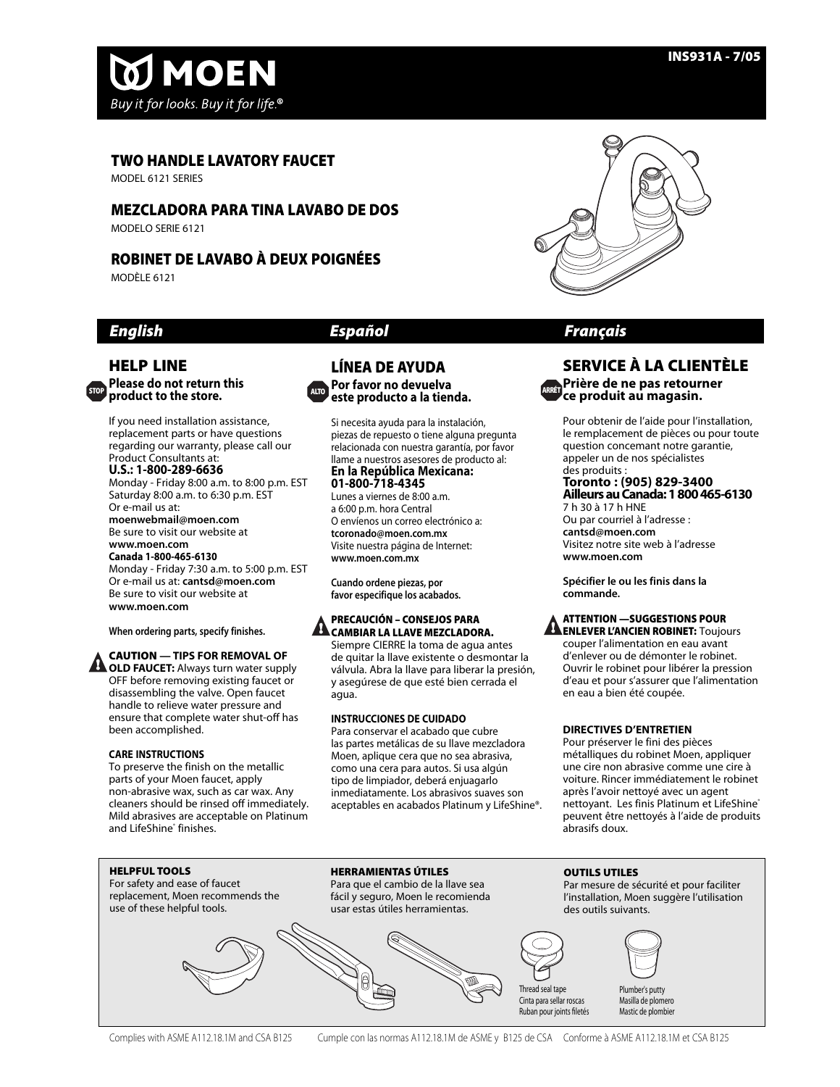

## **TWO HANDLE LAVATORY FAUCET**

MODEL 6121 SERIES

## **MEZCLADORA PARA TINA LAVABO DE DOS**

MODELO SERIE 6121

## **ROBINET DE LAVABO À DEUX POIGNÉES**

MODÈLE 6121

## **English Español Français**



If you need installation assistance, replacement parts or have questions regarding our warranty, please call our Product Consultants at: **U.S.: 1-800-289-6636** Monday - Friday 8:00 a.m. to 8:00 p.m. EST Saturday 8:00 a.m. to 6:30 p.m. EST Or e-mail us at: **moenwebmail@moen.com**

Be sure to visit our website at **www.moen.com Canada 1-800-465-6130** Monday - Friday 7:30 a.m. to 5:00 p.m. EST Or e-mail us at: **cantsd@moen.com** Be sure to visit our website at **www.moen.com**

**When ordering parts, specify finishes.** 

## **CAUTION — TIPS FOR REMOVAL OF**

**AN OLD FAUCET:** Always turn water supply OFF before removing existing faucet or disassembling the valve. Open faucet handle to relieve water pressure and ensure that complete water shut-off has been accomplished.

## **CARE INSTRUCTIONS**

To preserve the finish on the metallic parts of your Moen faucet, apply non-abrasive wax, such as car wax. Any cleaners should be rinsed off immediately. Mild abrasives are acceptable on Platinum and LifeShine® finishes.



Si necesita ayuda para la instalación, piezas de repuesto o tiene alguna pregunta relacionada con nuestra garantía, por favor llame a nuestros asesores de producto al:

## **En la República Mexicana: 01-800-718-4345**

Lunes a viernes de 8:00 a.m. a 6:00 p.m. hora Central O envíenos un correo electrónico a: **tcoronado@moen.com.mx** Visite nuestra página de Internet: **www.moen.com.mx**

**Cuando ordene piezas, por favor especifique los acabados.**

## **PRECAUCIÓN – CONSEJOS PARA CAMBIAR LA LLAVE MEZCLADORA.**

Siempre CIERRE la toma de agua antes de quitar la llave existente o desmontar la válvula. Abra la llave para liberar la presión, y asegúrese de que esté bien cerrada el agua.

## **INSTRUCCIONES DE CUIDADO**

Para conservar el acabado que cubre las partes metálicas de su llave mezcladora Moen, aplique cera que no sea abrasiva, como una cera para autos. Si usa algún tipo de limpiador, deberá enjuagarlo inmediatamente. Los abrasivos suaves son aceptables en acabados Platinum y LifeShine®.



## **SERVICE À LA CLIENTÈLE Prière de ne pas retourner**

**ce produit au magasin.**

Pour obtenir de l'aide pour l'installation, le remplacement de pièces ou pour toute question concemant notre garantie, appeler un de nos spécialistes des produits :

## **Toronto : (905) 829-3400 Ailleurs au Canada: 1 800 465-6130**

7 h 30 à 17 h HNE Ou par courriel à l'adresse : **cantsd@moen.com** Visitez notre site web à l'adresse **www.moen.com**

**Spécifier le ou les finis dans la commande.**

## **ATTENTION —SUGGESTIONS POUR ENLEVER L'ANCIEN ROBINET:** Toujours

couper l'alimentation en eau avant d'enlever ou de démonter le robinet. Ouvrir le robinet pour libérer la pression d'eau et pour s'assurer que l'alimentation en eau a bien été coupée.

## **DIRECTIVES D'ENTRETIEN**

Pour préserver le fini des pièces métalliques du robinet Moen, appliquer une cire non abrasive comme une cire à voiture. Rincer immédiatement le robinet après l'avoir nettoyé avec un agent nettoyant. Les finis Platinum et LifeShine® peuvent être nettoyés à l'aide de produits abrasifs doux.

## **HELPFUL TOOLS**

For safety and ease of faucet replacement, Moen recommends the use of these helpful tools.



Para que el cambio de la llave sea fácil y seguro, Moen le recomienda usar estas útiles herramientas.



## **OUTILS UTILES**

Par mesure de sécurité et pour faciliter l'installation, Moen suggère l'utilisation des outils suivants.



Plumber's putty Masilla de plomero Mastic de plombier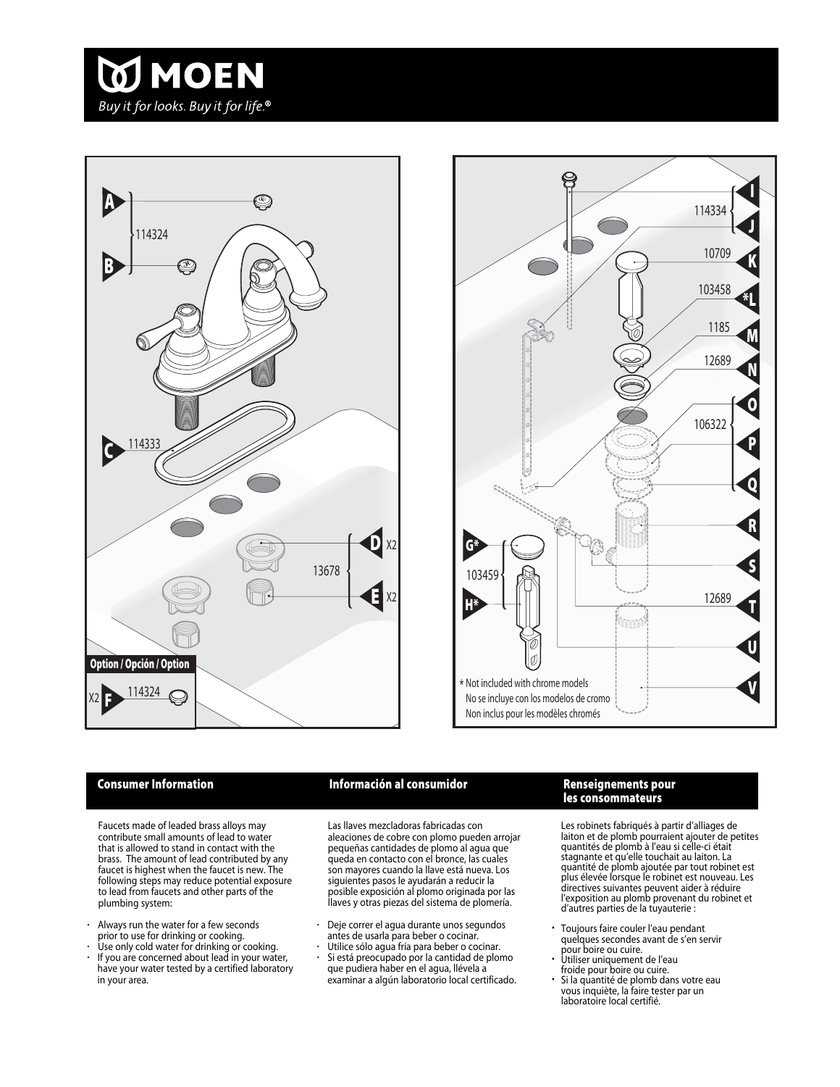





Faucets made of leaded brass alloys may contribute small amounts of lead to water that is allowed to stand in contact with the brass. The amount of lead contributed by any faucet is highest when the faucet is new. The following steps may reduce potential exposure to lead from faucets and other parts of the plumbing system:

- Always run the water for a few seconds Privaty start the water for a few seconds<br>• prior to use for drinking or cooking. Use only cold water for drinking or cooking.
- From the concerned about lead in your water,<br>have your water tested by a certified laboratory in your area.

## **Consumer Information Información al consumidor Renseignements pour**

Las llaves mezcladoras fabricadas con aleaciones de cobre con plomo pueden arrojar pequeñas cantidades de plomo al agua que queda en contacto con el bronce, las cuales son mayores cuando la llave está nueva. Los siguientes pasos le ayudarán a reducir la posible exposición al plomo originada por las llaves y otras piezas del sistema de plomería.

- Deje correr el agua durante unos segundos Beje concir en agua durante anos segundo<br>antes de usarla para beber o cocinar.<br>Utilice sólo agua fría para beber o cocinar.
- Utilice sólo agua fría para beber o cocinar. Si está preocupado por la cantidad de plomo que pudiera haber en el agua, llévela a examinar a algún laboratorio local certificado.

# **les consommateurs**

Les robinets fabriqués à partir d'alliages de laiton et de plomb pourraient ajouter de petites quantités de plomb à l'eau si celle-ci était stagnante et qu'elle touchait au laiton. La quantité de plomb ajoutée par tout robinet est plus élevée lorsque le robinet est nouveau. Les directives suivantes peuvent aider à réduire l'exposition au plomb provenant du robinet et d'autres parties de la tuyauterie :

- Toujours faire couler l'eau pendant quelques secondes avant de s'en servir
- pour boire ou cuire.<br>• Utiliser uniquement de l'eau<br>• froide pour boire ou cuire.
- froide pour boire ou cuire. Si la quantité de plomb dans votre eau vous inquiète, la faire tester par un laboratoire local certifié.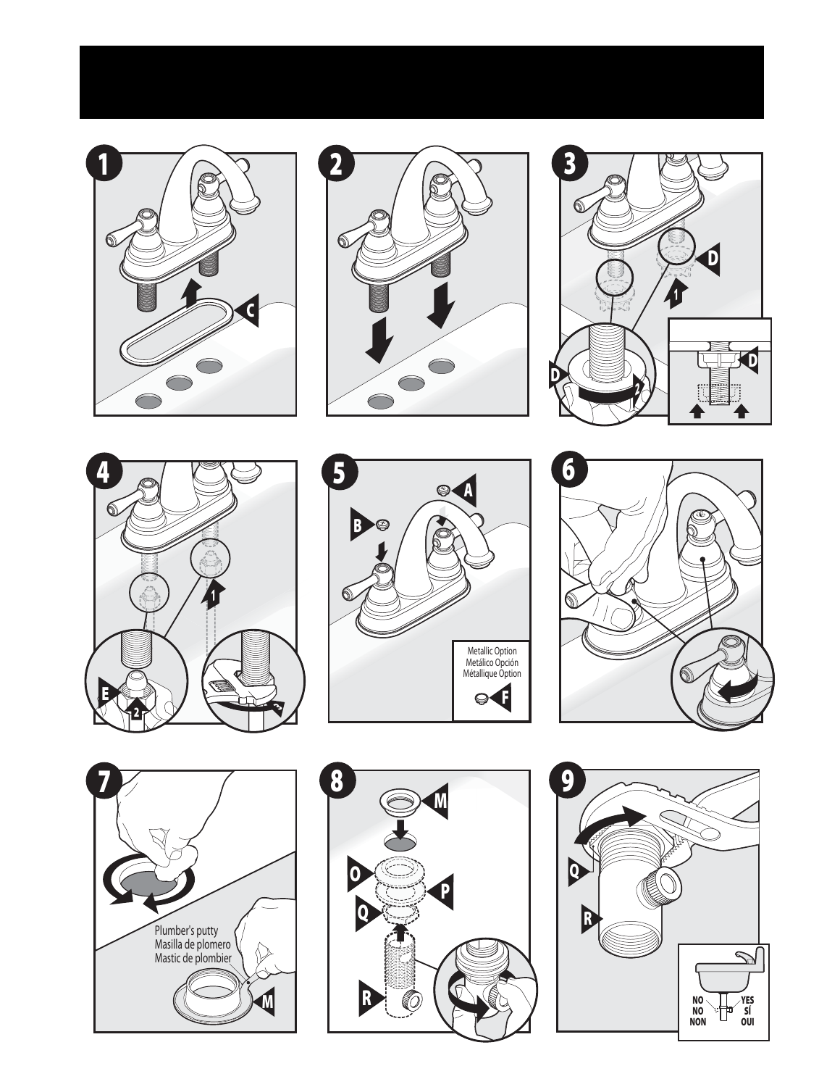















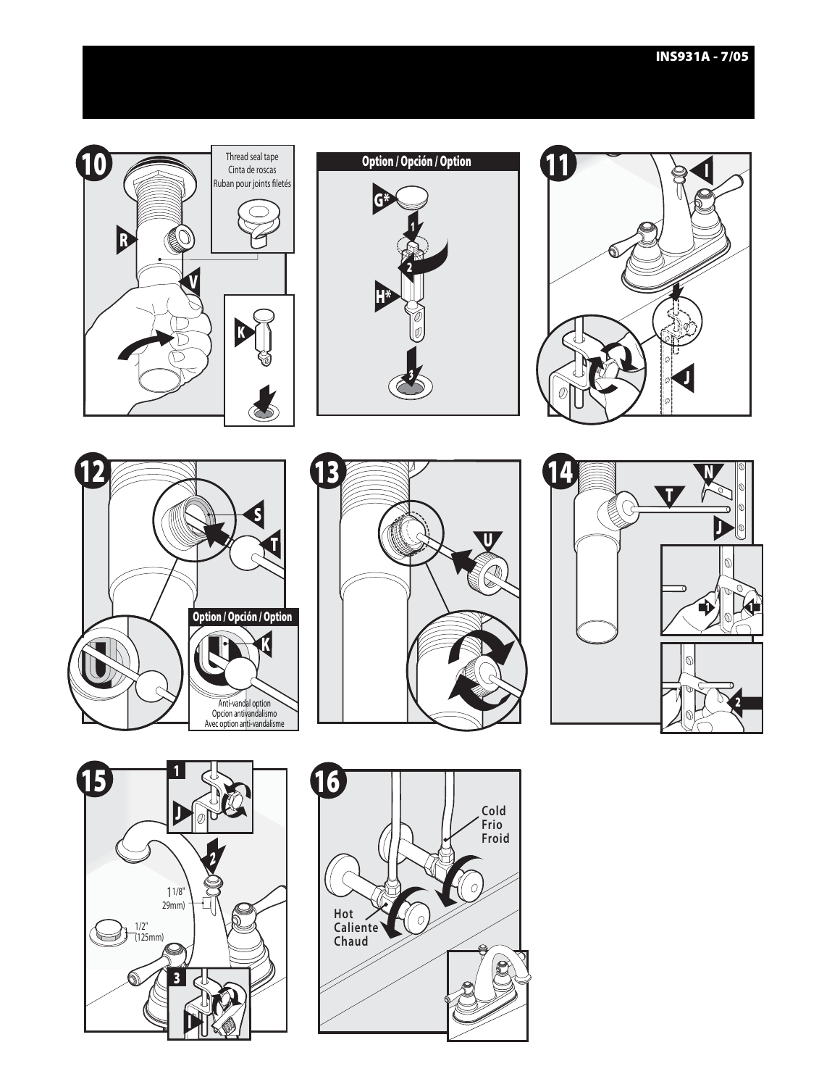## **INS931A - 7/05**















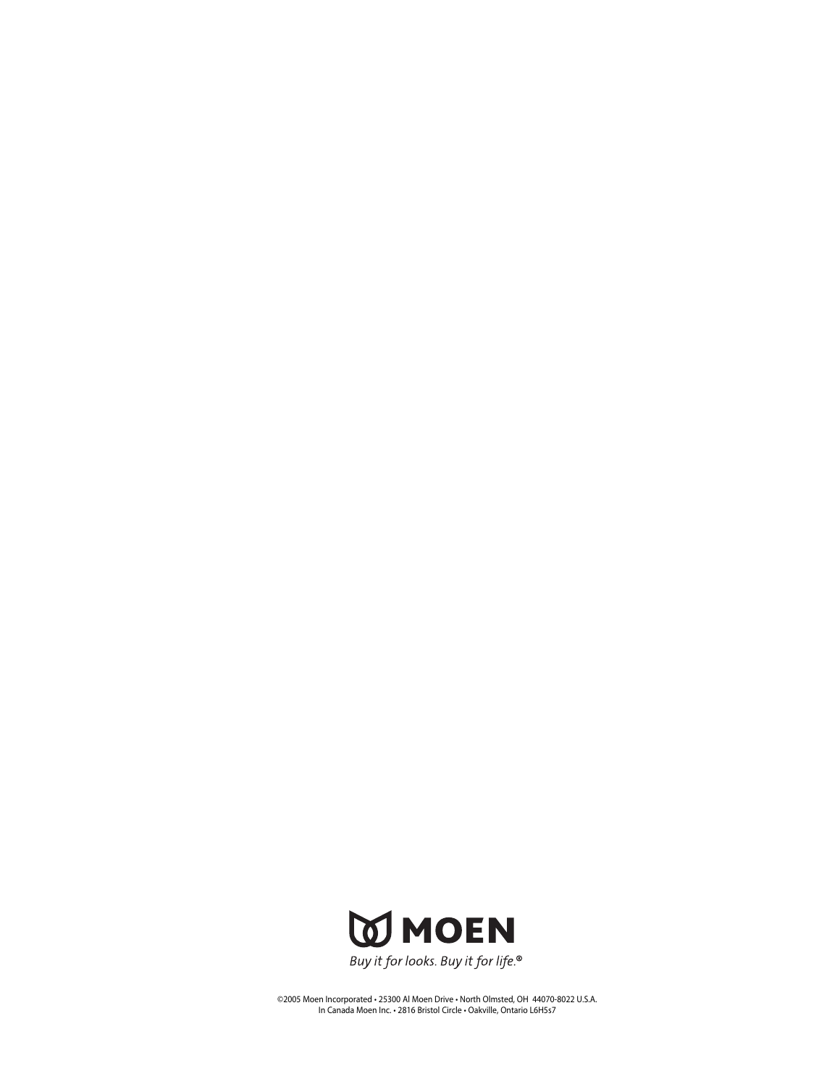

©2005 Moen Incorporated • 25300 Al Moen Drive • North Olmsted, OH 44070-8022 U.S.A. In Canada Moen Inc. • 2816 Bristol Circle • Oakville, Ontario L6H5s7